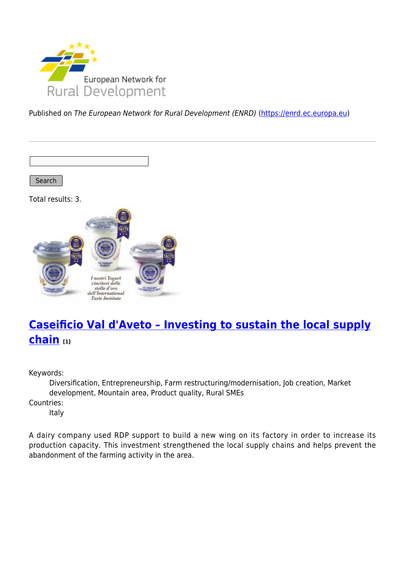

Published on The European Network for Rural Development (ENRD) [\(https://enrd.ec.europa.eu](https://enrd.ec.europa.eu))

Search

Total results: 3.



# **[Caseificio Val d'Aveto – Investing to sustain the local supply](https://enrd.ec.europa.eu/projects-practice/caseificio-val-daveto-investing-sustain-local-supply-chain_en) [chain](https://enrd.ec.europa.eu/projects-practice/caseificio-val-daveto-investing-sustain-local-supply-chain_en) [1]**

Keywords:

Diversification, Entrepreneurship, Farm restructuring/modernisation, Job creation, Market development, Mountain area, Product quality, Rural SMEs

Countries:

Italy

A dairy company used RDP support to build a new wing on its factory in order to increase its production capacity. This investment strengthened the local supply chains and helps prevent the abandonment of the farming activity in the area.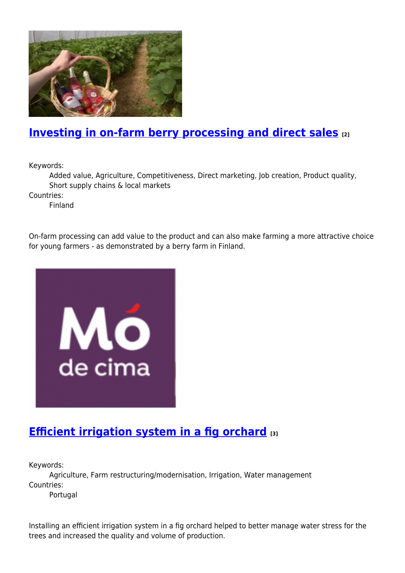

## **[Investing in on-farm berry processing and direct sales](https://enrd.ec.europa.eu/projects-practice/investing-farm-berry-processing-and-direct-sales_en) [2]**

Keywords:

Added value, Agriculture, Competitiveness, Direct marketing, Job creation, Product quality, Short supply chains & local markets

Countries:

Finland

On-farm processing can add value to the product and can also make farming a more attractive choice for young farmers - as demonstrated by a berry farm in Finland.



### **[Efficient irrigation system in a fig orchard](https://enrd.ec.europa.eu/projects-practice/efficient-irrigation-system-fig-orchard_en) [3]**

Keywords:

Agriculture, Farm restructuring/modernisation, Irrigation, Water management Countries:

Portugal

Installing an efficient irrigation system in a fig orchard helped to better manage water stress for the trees and increased the quality and volume of production.